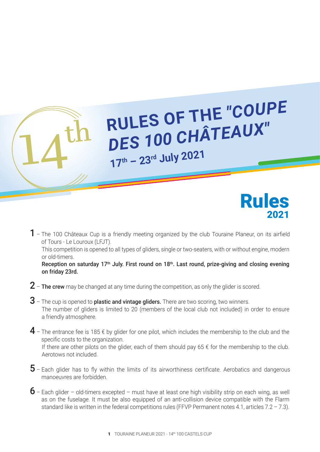## THE "COUPE RULES OF THE "COUPE *DES 100 CHÂTEAUX"*  **<sup>17</sup>th – 23rd July 2021**



 $1$  – The 100 Châteaux Cup is a friendly meeting organized by the club Touraine Planeur, on its airfield of Tours - Le Louroux (LFJT).

This competition is opened to all types of gliders, single or two-seaters, with or without engine, modern or old-timers.

Reception on saturday 17<sup>th</sup> July. First round on 18<sup>th</sup>. Last round, prize-giving and closing evening on friday 23rd.

- $2$  The crew may be changed at any time during the competition, as only the glider is scored.
- $3$  The cup is opened to plastic and vintage gliders. There are two scoring, two winners. The number of gliders is limited to 20 (members of the local club not included) in order to ensure a friendly atmosphere.
- $4$  The entrance fee is 185  $\epsilon$  by glider for one pilot, which includes the membership to the club and the specific costs to the organization. If there are other pilots on the glider, each of them should pay  $65 \notin$  for the membership to the club. Aerotows not included.
- $5$  Each glider has to fly within the limits of its airworthiness certificate. Aerobatics and dangerous manoeuvres are forbidden.
- $6$  Each glider old-timers excepted must have at least one high visibility strip on each wing, as well as on the fuselage. It must be also equipped of an anti-collision device compatible with the Flarm standard like is written in the federal competitions rules (FFVP Permanent notes 4.1, articles  $7.2 - 7.3$ ).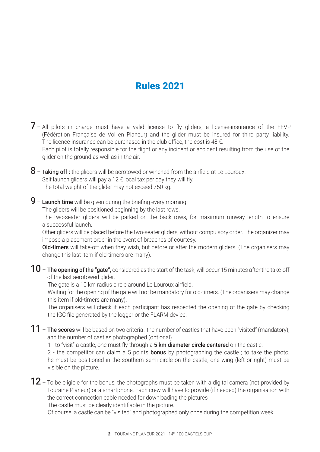## Rules 2021

- $7$  All pilots in charge must have a valid license to fly gliders, a license-insurance of the FFVP (Fédération Française de Vol en Planeur) and the glider must be insured for third party liability. The licence-insurance can be purchased in the club office, the cost is 48  $\epsilon$ . Each pilot is totally responsible for the flight or any incident or accident resulting from the use of the glider on the ground as well as in the air.
- $8$  Taking off : the gliders will be aerotowed or winched from the airfield at Le Louroux. Self launch gliders will pay a 12  $\epsilon$  local tax per day they will fly. The total weight of the glider may not exceed 750 kg.
- 9 Launch time will be given during the briefing every morning.

The gliders will be positioned beginning by the last rows.

The two-seater gliders will be parked on the back rows, for maximum runway length to ensure a successful launch.

Other gliders will be placed before the two-seater gliders, without compulsory order. The organizer may impose a placement order in the event of breaches of courtesy.

Old-timers will take-off when they wish, but before or after the modern gliders. (The organisers may change this last item if old-timers are many).

 $10$  – The opening of the "gate", considered as the start of the task, will occur 15 minutes after the take-off of the last aerotowed glider.

The gate is a 10 km radius circle around Le Louroux airfield.

Waiting for the opening of the gate will not be mandatory for old-timers. (The organisers may change this item if old-timers are many).

The organisers will check if each participant has respected the opening of the gate by checking the IGC file generated by the logger or the FLARM device.

 $11$  – The scores will be based on two criteria : the number of castles that have been "visited" (mandatory), and the number of castles photographed (optional).

1 - to "visit" a castle, one must fly through a 5 km diameter circle centered on the castle.

2 - the competitor can claim a 5 points **bonus** by photographing the castle; to take the photo, he must be positioned in the southern semi circle on the castle, one wing (left or right) must be visible on the picture.

 $12$  – To be eligible for the bonus, the photographs must be taken with a digital camera (not provided by Touraine Planeur) or a smartphone. Each crew will have to provide (if needed) the organisation with the correct connection cable needed for downloading the pictures

The castle must be clearly identifiable in the picture.

Of course, a castle can be "visited" and photographed only once during the competition week.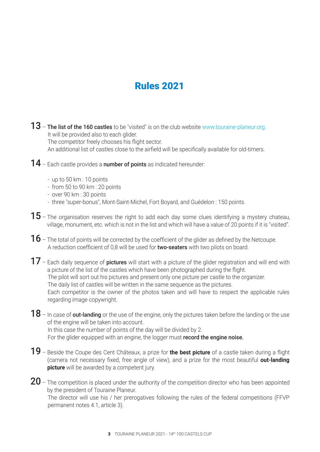## Rules 2021

13 – The list of the 160 castles to be "visited" is on the club website www.touraine-planeur.org. It will be provided also to each glider.

The competitor freely chooses his flight sector.

An additional list of castles close to the airfield will be specifically available for old-timers.

- 14 Each castle provides a number of points as indicated hereunder:
	- up to 50 km : 10 points
	- from 50 to 90 km : 20 points
	- over 90 km : 30 points
	- three "super-bonus", Mont-Saint-Michel, Fort Boyard, and Guédelon : 150 points.
- $15$  The organisation reserves the right to add each day some clues identifying a mystery chateau, village, monument, etc. which is not in the list and which will have a value of 20 points if it is "visited".
- $16$  The total of points will be corrected by the coefficient of the glider as defined by the Netcoupe. A reduction coefficient of 0,8 will be used for two-seaters with two pilots on board.
- 17 Each daily sequence of pictures will start with a picture of the glider registration and will end with a picture of the list of the castles which have been photographed during the flight. The pilot will sort out his pictures and present only one picture per castle to the organizer. The daily list of castles will be written in the same sequence as the pictures. Each competitor is the owner of the photos taken and will have to respect the applicable rules regarding image copywright.
- $18$  In case of out-landing or the use of the engine, only the pictures taken before the landing or the use of the engine will be taken into account. In this case the number of points of the day will be divided by 2. For the glider equipped with an engine, the logger must record the engine noise.
- 19 Beside the Coupe des Cent Châteaux, a prize for **the best picture** of a castle taken during a flight (camera not necessary fixed, free angle of view), and a prize for the most beautiful **out-landing picture** will be awarded by a competent jury.
- $20$  The competition is placed under the authority of the competition director who has been appointed by the president of Touraine Planeur. The director will use his / her prerogatives following the rules of the federal competitions (FFVP permanent notes 4.1, article 3).